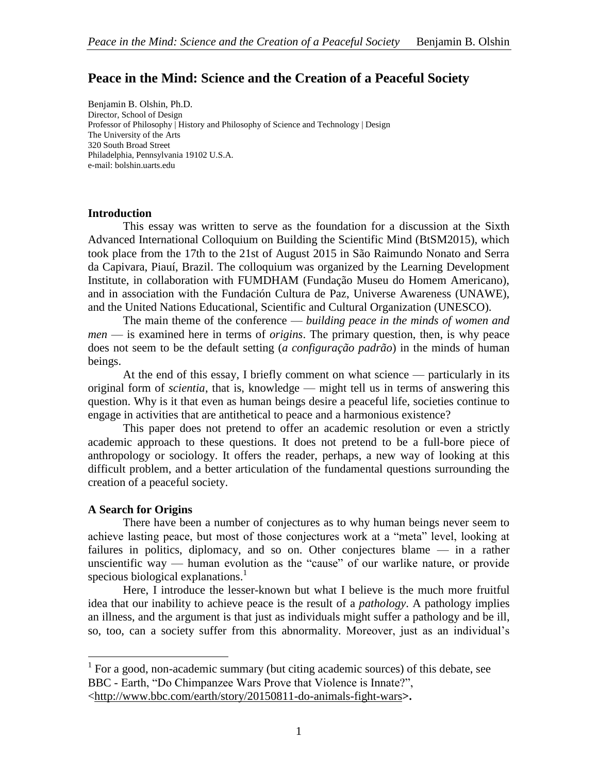# **Peace in the Mind: Science and the Creation of a Peaceful Society**

Benjamin B. Olshin, Ph.D. Director, School of Design Professor of Philosophy | History and Philosophy of Science and Technology | Design The University of the Arts 320 South Broad Street Philadelphia, Pennsylvania 19102 U.S.A. e-mail: bolshin.uarts.edu

#### **Introduction**

This essay was written to serve as the foundation for a discussion at the Sixth Advanced International Colloquium on Building the Scientific Mind (BtSM2015), which took place from the 17th to the 21st of August 2015 in São Raimundo Nonato and Serra da Capivara, Piauí, Brazil. The colloquium was organized by the Learning Development Institute, in collaboration with FUMDHAM (Fundação Museu do Homem Americano), and in association with the Fundación Cultura de Paz, Universe Awareness (UNAWE), and the United Nations Educational, Scientific and Cultural Organization (UNESCO).

The main theme of the conference — *building peace in the minds of women and men* — is examined here in terms of *origins*. The primary question, then, is why peace does not seem to be the default setting (*a configuração padrão*) in the minds of human beings.

At the end of this essay, I briefly comment on what science — particularly in its original form of *scientia*, that is, knowledge — might tell us in terms of answering this question. Why is it that even as human beings desire a peaceful life, societies continue to engage in activities that are antithetical to peace and a harmonious existence?

This paper does not pretend to offer an academic resolution or even a strictly academic approach to these questions. It does not pretend to be a full-bore piece of anthropology or sociology. It offers the reader, perhaps, a new way of looking at this difficult problem, and a better articulation of the fundamental questions surrounding the creation of a peaceful society.

#### **A Search for Origins**

 $\overline{a}$ 

There have been a number of conjectures as to why human beings never seem to achieve lasting peace, but most of those conjectures work at a "meta" level, looking at failures in politics, diplomacy, and so on. Other conjectures blame — in a rather unscientific way — human evolution as the "cause" of our warlike nature, or provide specious biological explanations. $<sup>1</sup>$ </sup>

Here, I introduce the lesser-known but what I believe is the much more fruitful idea that our inability to achieve peace is the result of a *pathology*. A pathology implies an illness, and the argument is that just as individuals might suffer a pathology and be ill, so, too, can a society suffer from this abnormality. Moreover, just as an individual's

 $<sup>1</sup>$  For a good, non-academic summary (but citing academic sources) of this debate, see</sup> BBC - Earth, "Do Chimpanzee Wars Prove that Violence is Innate?",

<sup>&</sup>lt;http://www.bbc.com/earth/story/20150811-do-animals-fight-wars**>.**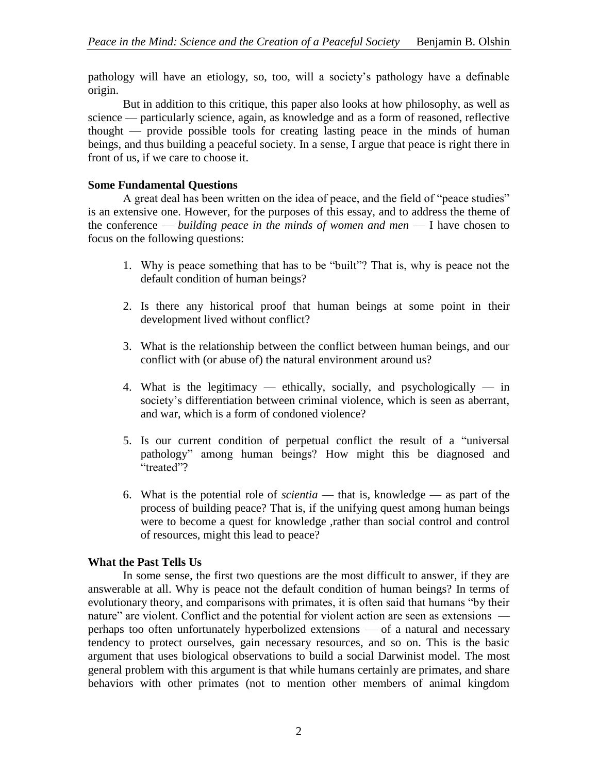pathology will have an etiology, so, too, will a society's pathology have a definable origin.

But in addition to this critique, this paper also looks at how philosophy, as well as science — particularly science, again, as knowledge and as a form of reasoned, reflective thought — provide possible tools for creating lasting peace in the minds of human beings, and thus building a peaceful society. In a sense, I argue that peace is right there in front of us, if we care to choose it.

#### **Some Fundamental Questions**

A great deal has been written on the idea of peace, and the field of "peace studies" is an extensive one. However, for the purposes of this essay, and to address the theme of the conference — *building peace in the minds of women and men* — I have chosen to focus on the following questions:

- 1. Why is peace something that has to be "built"? That is, why is peace not the default condition of human beings?
- 2. Is there any historical proof that human beings at some point in their development lived without conflict?
- 3. What is the relationship between the conflict between human beings, and our conflict with (or abuse of) the natural environment around us?
- 4. What is the legitimacy ethically, socially, and psychologically in society's differentiation between criminal violence, which is seen as aberrant, and war, which is a form of condoned violence?
- 5. Is our current condition of perpetual conflict the result of a "universal pathology" among human beings? How might this be diagnosed and "treated"?
- 6. What is the potential role of *scientia* that is, knowledge as part of the process of building peace? That is, if the unifying quest among human beings were to become a quest for knowledge ,rather than social control and control of resources, might this lead to peace?

## **What the Past Tells Us**

In some sense, the first two questions are the most difficult to answer, if they are answerable at all. Why is peace not the default condition of human beings? In terms of evolutionary theory, and comparisons with primates, it is often said that humans "by their nature" are violent. Conflict and the potential for violent action are seen as extensions perhaps too often unfortunately hyperbolized extensions — of a natural and necessary tendency to protect ourselves, gain necessary resources, and so on. This is the basic argument that uses biological observations to build a social Darwinist model. The most general problem with this argument is that while humans certainly are primates, and share behaviors with other primates (not to mention other members of animal kingdom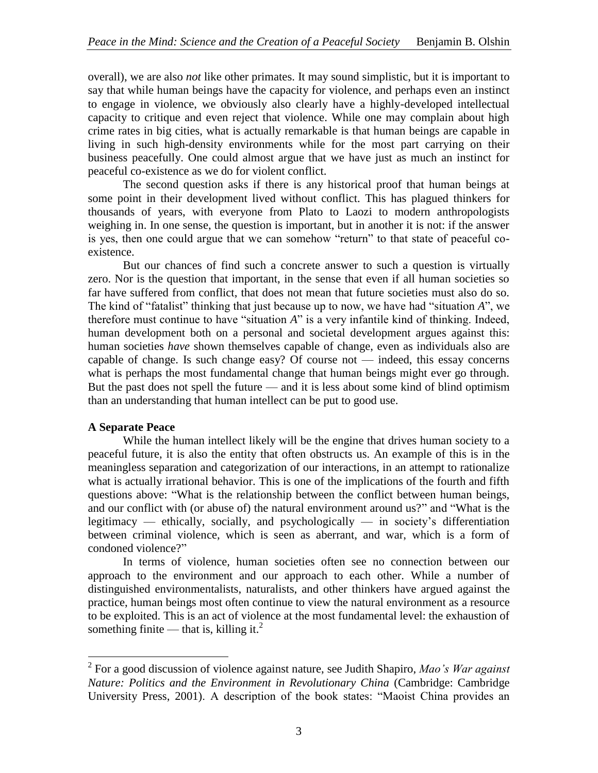overall), we are also *not* like other primates. It may sound simplistic, but it is important to say that while human beings have the capacity for violence, and perhaps even an instinct to engage in violence, we obviously also clearly have a highly-developed intellectual capacity to critique and even reject that violence. While one may complain about high crime rates in big cities, what is actually remarkable is that human beings are capable in living in such high-density environments while for the most part carrying on their business peacefully. One could almost argue that we have just as much an instinct for peaceful co-existence as we do for violent conflict.

The second question asks if there is any historical proof that human beings at some point in their development lived without conflict. This has plagued thinkers for thousands of years, with everyone from Plato to Laozi to modern anthropologists weighing in. In one sense, the question is important, but in another it is not: if the answer is yes, then one could argue that we can somehow "return" to that state of peaceful coexistence.

But our chances of find such a concrete answer to such a question is virtually zero. Nor is the question that important, in the sense that even if all human societies so far have suffered from conflict, that does not mean that future societies must also do so. The kind of "fatalist" thinking that just because up to now, we have had "situation *A*", we therefore must continue to have "situation *A*" is a very infantile kind of thinking. Indeed, human development both on a personal and societal development argues against this: human societies *have* shown themselves capable of change, even as individuals also are capable of change. Is such change easy? Of course not — indeed, this essay concerns what is perhaps the most fundamental change that human beings might ever go through. But the past does not spell the future — and it is less about some kind of blind optimism than an understanding that human intellect can be put to good use.

## **A Separate Peace**

While the human intellect likely will be the engine that drives human society to a peaceful future, it is also the entity that often obstructs us. An example of this is in the meaningless separation and categorization of our interactions, in an attempt to rationalize what is actually irrational behavior. This is one of the implications of the fourth and fifth questions above: "What is the relationship between the conflict between human beings, and our conflict with (or abuse of) the natural environment around us?" and "What is the legitimacy — ethically, socially, and psychologically — in society's differentiation between criminal violence, which is seen as aberrant, and war, which is a form of condoned violence?"

In terms of violence, human societies often see no connection between our approach to the environment and our approach to each other. While a number of distinguished environmentalists, naturalists, and other thinkers have argued against the practice, human beings most often continue to view the natural environment as a resource to be exploited. This is an act of violence at the most fundamental level: the exhaustion of something finite — that is, killing it. $^{2}$ 

 2 For a good discussion of violence against nature, see Judith Shapiro, *Mao's War against Nature: Politics and the Environment in Revolutionary China* (Cambridge: Cambridge University Press, 2001). A description of the book states: "Maoist China provides an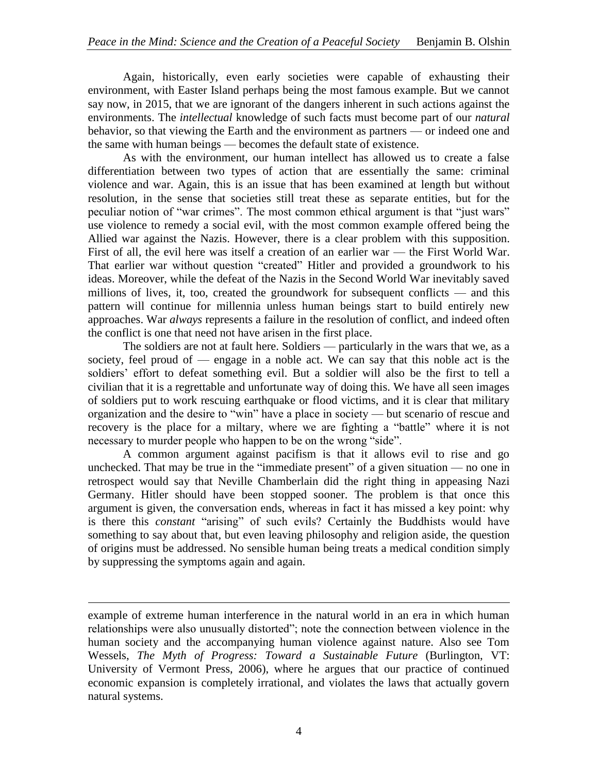Again, historically, even early societies were capable of exhausting their environment, with Easter Island perhaps being the most famous example. But we cannot say now, in 2015, that we are ignorant of the dangers inherent in such actions against the environments. The *intellectual* knowledge of such facts must become part of our *natural* behavior, so that viewing the Earth and the environment as partners — or indeed one and the same with human beings — becomes the default state of existence.

As with the environment, our human intellect has allowed us to create a false differentiation between two types of action that are essentially the same: criminal violence and war. Again, this is an issue that has been examined at length but without resolution, in the sense that societies still treat these as separate entities, but for the peculiar notion of "war crimes". The most common ethical argument is that "just wars" use violence to remedy a social evil, with the most common example offered being the Allied war against the Nazis. However, there is a clear problem with this supposition. First of all, the evil here was itself a creation of an earlier war — the First World War. That earlier war without question "created" Hitler and provided a groundwork to his ideas. Moreover, while the defeat of the Nazis in the Second World War inevitably saved millions of lives, it, too, created the groundwork for subsequent conflicts — and this pattern will continue for millennia unless human beings start to build entirely new approaches. War *always* represents a failure in the resolution of conflict, and indeed often the conflict is one that need not have arisen in the first place.

The soldiers are not at fault here. Soldiers — particularly in the wars that we, as a society, feel proud of — engage in a noble act. We can say that this noble act is the soldiers' effort to defeat something evil. But a soldier will also be the first to tell a civilian that it is a regrettable and unfortunate way of doing this. We have all seen images of soldiers put to work rescuing earthquake or flood victims, and it is clear that military organization and the desire to "win" have a place in society — but scenario of rescue and recovery is the place for a miltary, where we are fighting a "battle" where it is not necessary to murder people who happen to be on the wrong "side".

A common argument against pacifism is that it allows evil to rise and go unchecked. That may be true in the "immediate present" of a given situation — no one in retrospect would say that Neville Chamberlain did the right thing in appeasing Nazi Germany. Hitler should have been stopped sooner. The problem is that once this argument is given, the conversation ends, whereas in fact it has missed a key point: why is there this *constant* "arising" of such evils? Certainly the Buddhists would have something to say about that, but even leaving philosophy and religion aside, the question of origins must be addressed. No sensible human being treats a medical condition simply by suppressing the symptoms again and again.

example of extreme human interference in the natural world in an era in which human relationships were also unusually distorted"; note the connection between violence in the human society and the accompanying human violence against nature. Also see Tom Wessels, *The Myth of Progress: Toward a Sustainable Future* (Burlington, VT: University of Vermont Press, 2006), where he argues that our practice of continued economic expansion is completely irrational, and violates the laws that actually govern natural systems.

 $\overline{a}$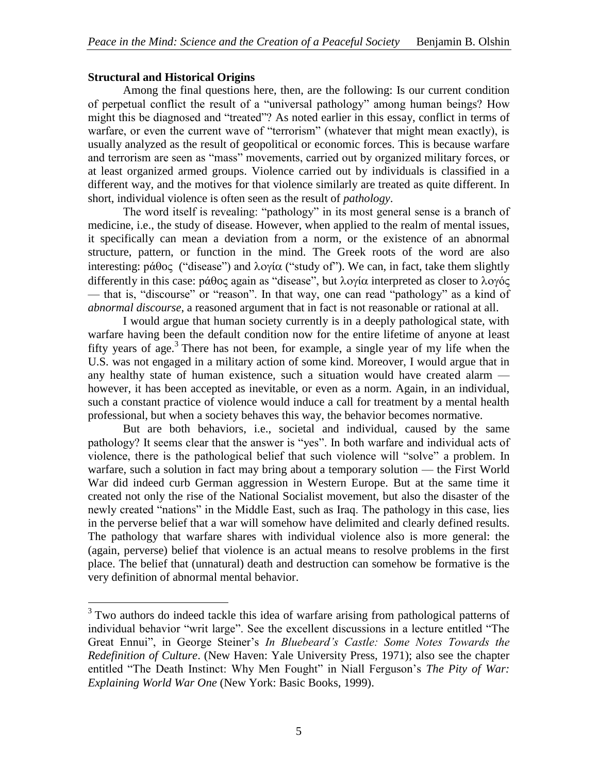## **Structural and Historical Origins**

 $\overline{a}$ 

Among the final questions here, then, are the following: Is our current condition of perpetual conflict the result of a "universal pathology" among human beings? How might this be diagnosed and "treated"? As noted earlier in this essay, conflict in terms of warfare, or even the current wave of "terrorism" (whatever that might mean exactly), is usually analyzed as the result of geopolitical or economic forces. This is because warfare and terrorism are seen as "mass" movements, carried out by organized military forces, or at least organized armed groups. Violence carried out by individuals is classified in a different way, and the motives for that violence similarly are treated as quite different. In short, individual violence is often seen as the result of *pathology*.

The word itself is revealing: "pathology" in its most general sense is a branch of medicine, i.e., the study of disease. However, when applied to the realm of mental issues, it specifically can mean a deviation from a norm, or the existence of an abnormal structure, pattern, or function in the mind. The Greek roots of the word are also interesting:  $p\acute{a}\theta$ o $\varsigma$  ("disease") and  $\lambda$ o $\gamma$ i $\alpha$  ("study of"). We can, in fact, take them slightly differently in this case:  $p\acute{a}\theta$ o $\varsigma$  again as "disease", but λογία interpreted as closer to λογός — that is, "discourse" or "reason". In that way, one can read "pathology" as a kind of *abnormal discourse*, a reasoned argument that in fact is not reasonable or rational at all.

I would argue that human society currently is in a deeply pathological state, with warfare having been the default condition now for the entire lifetime of anyone at least fifty years of age.<sup>3</sup> There has not been, for example, a single year of my life when the U.S. was not engaged in a military action of some kind. Moreover, I would argue that in any healthy state of human existence, such a situation would have created alarm however, it has been accepted as inevitable, or even as a norm. Again, in an individual, such a constant practice of violence would induce a call for treatment by a mental health professional, but when a society behaves this way, the behavior becomes normative.

But are both behaviors, i.e., societal and individual, caused by the same pathology? It seems clear that the answer is "yes". In both warfare and individual acts of violence, there is the pathological belief that such violence will "solve" a problem. In warfare, such a solution in fact may bring about a temporary solution — the First World War did indeed curb German aggression in Western Europe. But at the same time it created not only the rise of the National Socialist movement, but also the disaster of the newly created "nations" in the Middle East, such as Iraq. The pathology in this case, lies in the perverse belief that a war will somehow have delimited and clearly defined results. The pathology that warfare shares with individual violence also is more general: the (again, perverse) belief that violence is an actual means to resolve problems in the first place. The belief that (unnatural) death and destruction can somehow be formative is the very definition of abnormal mental behavior.

<sup>&</sup>lt;sup>3</sup> Two authors do indeed tackle this idea of warfare arising from pathological patterns of individual behavior "writ large". See the excellent discussions in a lecture entitled "The Great Ennui", in George Steiner's *In Bluebeard's Castle: Some Notes Towards the Redefinition of Culture*. (New Haven: Yale University Press, 1971); also see the chapter entitled "The Death Instinct: Why Men Fought" in Niall Ferguson's *The Pity of War: Explaining World War One* (New York: Basic Books, 1999).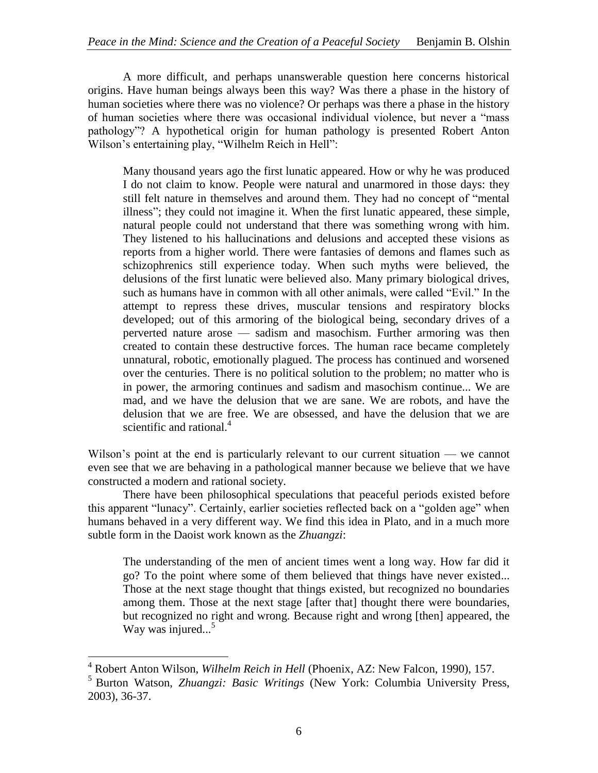A more difficult, and perhaps unanswerable question here concerns historical origins. Have human beings always been this way? Was there a phase in the history of human societies where there was no violence? Or perhaps was there a phase in the history of human societies where there was occasional individual violence, but never a "mass pathology"? A hypothetical origin for human pathology is presented Robert Anton Wilson's entertaining play, "Wilhelm Reich in Hell":

Many thousand years ago the first lunatic appeared. How or why he was produced I do not claim to know. People were natural and unarmored in those days: they still felt nature in themselves and around them. They had no concept of "mental illness"; they could not imagine it. When the first lunatic appeared, these simple, natural people could not understand that there was something wrong with him. They listened to his hallucinations and delusions and accepted these visions as reports from a higher world. There were fantasies of demons and flames such as schizophrenics still experience today. When such myths were believed, the delusions of the first lunatic were believed also. Many primary biological drives, such as humans have in common with all other animals, were called "Evil." In the attempt to repress these drives, muscular tensions and respiratory blocks developed; out of this armoring of the biological being, secondary drives of a perverted nature arose — sadism and masochism. Further armoring was then created to contain these destructive forces. The human race became completely unnatural, robotic, emotionally plagued. The process has continued and worsened over the centuries. There is no political solution to the problem; no matter who is in power, the armoring continues and sadism and masochism continue... We are mad, and we have the delusion that we are sane. We are robots, and have the delusion that we are free. We are obsessed, and have the delusion that we are scientific and rational. $4$ 

Wilson's point at the end is particularly relevant to our current situation — we cannot even see that we are behaving in a pathological manner because we believe that we have constructed a modern and rational society.

There have been philosophical speculations that peaceful periods existed before this apparent "lunacy". Certainly, earlier societies reflected back on a "golden age" when humans behaved in a very different way. We find this idea in Plato, and in a much more subtle form in the Daoist work known as the *Zhuangzi*:

The understanding of the men of ancient times went a long way. How far did it go? To the point where some of them believed that things have never existed... Those at the next stage thought that things existed, but recognized no boundaries among them. Those at the next stage [after that] thought there were boundaries, but recognized no right and wrong. Because right and wrong [then] appeared, the Way was injured...<sup>5</sup>

 $\overline{a}$ 

<sup>4</sup> Robert Anton Wilson, *Wilhelm Reich in Hell* (Phoenix, AZ: New Falcon, 1990), 157.

<sup>5</sup> Burton Watson, *Zhuangzi: Basic Writings* (New York: Columbia University Press, 2003), 36-37.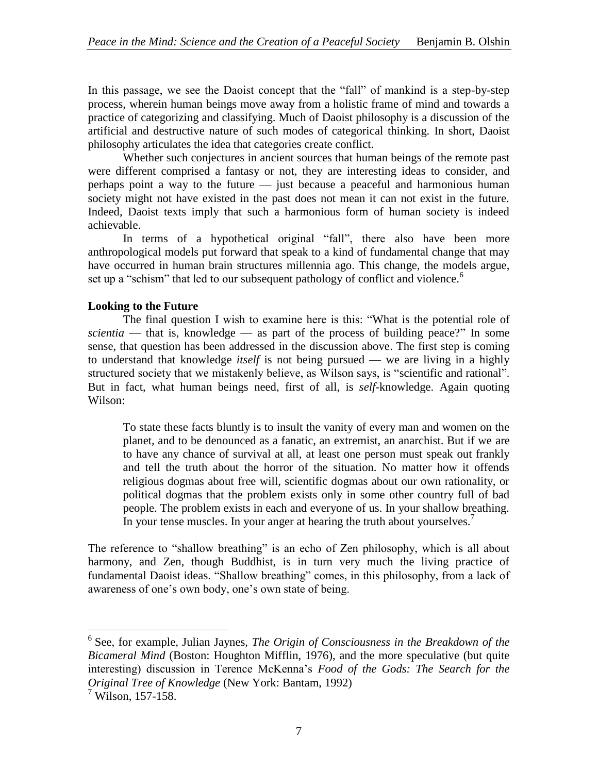In this passage, we see the Daoist concept that the "fall" of mankind is a step-by-step process, wherein human beings move away from a holistic frame of mind and towards a practice of categorizing and classifying. Much of Daoist philosophy is a discussion of the artificial and destructive nature of such modes of categorical thinking. In short, Daoist philosophy articulates the idea that categories create conflict.

Whether such conjectures in ancient sources that human beings of the remote past were different comprised a fantasy or not, they are interesting ideas to consider, and perhaps point a way to the future — just because a peaceful and harmonious human society might not have existed in the past does not mean it can not exist in the future. Indeed, Daoist texts imply that such a harmonious form of human society is indeed achievable.

In terms of a hypothetical original "fall", there also have been more anthropological models put forward that speak to a kind of fundamental change that may have occurred in human brain structures millennia ago. This change, the models argue, set up a "schism" that led to our subsequent pathology of conflict and violence.<sup>6</sup>

## **Looking to the Future**

The final question I wish to examine here is this: "What is the potential role of *scientia* — that is, knowledge — as part of the process of building peace?" In some sense, that question has been addressed in the discussion above. The first step is coming to understand that knowledge *itself* is not being pursued — we are living in a highly structured society that we mistakenly believe, as Wilson says, is "scientific and rational". But in fact, what human beings need, first of all, is *self*-knowledge. Again quoting Wilson:

To state these facts bluntly is to insult the vanity of every man and women on the planet, and to be denounced as a fanatic, an extremist, an anarchist. But if we are to have any chance of survival at all, at least one person must speak out frankly and tell the truth about the horror of the situation. No matter how it offends religious dogmas about free will, scientific dogmas about our own rationality, or political dogmas that the problem exists only in some other country full of bad people. The problem exists in each and everyone of us. In your shallow breathing. In your tense muscles. In your anger at hearing the truth about yourselves.<sup>7</sup>

The reference to "shallow breathing" is an echo of Zen philosophy, which is all about harmony, and Zen, though Buddhist, is in turn very much the living practice of fundamental Daoist ideas. "Shallow breathing" comes, in this philosophy, from a lack of awareness of one's own body, one's own state of being.

 6 See, for example, Julian Jaynes, *The Origin of Consciousness in the Breakdown of the Bicameral Mind* (Boston: Houghton Mifflin, 1976), and the more speculative (but quite interesting) discussion in Terence McKenna's *Food of the Gods: The Search for the Original Tree of Knowledge* (New York: Bantam, 1992)

 $^7$  Wilson, 157-158.